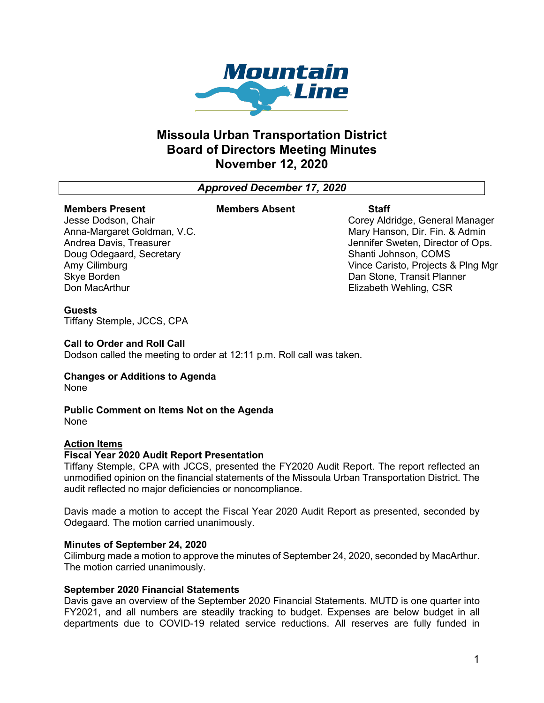

## **Missoula Urban Transportation District Board of Directors Meeting Minutes November 12, 2020**

*Approved December 17, 2020*

## **Members Present**

### **Members Absent Staff**

Jesse Dodson, Chair Anna-Margaret Goldman, V.C. Andrea Davis, Treasurer Doug Odegaard, Secretary Amy Cilimburg Skye Borden Don MacArthur

Corey Aldridge, General Manager Mary Hanson, Dir. Fin. & Admin Jennifer Sweten, Director of Ops. Shanti Johnson, COMS Vince Caristo, Projects & Plng Mgr Dan Stone, Transit Planner Elizabeth Wehling, CSR

### **Guests**

Tiffany Stemple, JCCS, CPA

### **Call to Order and Roll Call**

Dodson called the meeting to order at 12:11 p.m. Roll call was taken.

# **Changes or Additions to Agenda**

None

## **Public Comment on Items Not on the Agenda**

None

## **Action Items**

### **Fiscal Year 2020 Audit Report Presentation**

Tiffany Stemple, CPA with JCCS, presented the FY2020 Audit Report. The report reflected an unmodified opinion on the financial statements of the Missoula Urban Transportation District. The audit reflected no major deficiencies or noncompliance.

Davis made a motion to accept the Fiscal Year 2020 Audit Report as presented, seconded by Odegaard. The motion carried unanimously.

## **Minutes of September 24, 2020**

Cilimburg made a motion to approve the minutes of September 24, 2020, seconded by MacArthur. The motion carried unanimously.

## **September 2020 Financial Statements**

Davis gave an overview of the September 2020 Financial Statements. MUTD is one quarter into FY2021, and all numbers are steadily tracking to budget. Expenses are below budget in all departments due to COVID-19 related service reductions. All reserves are fully funded in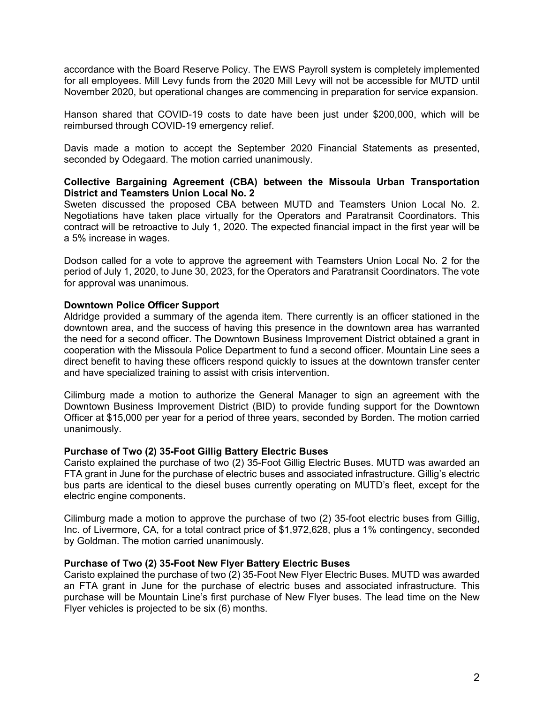accordance with the Board Reserve Policy. The EWS Payroll system is completely implemented for all employees. Mill Levy funds from the 2020 Mill Levy will not be accessible for MUTD until November 2020, but operational changes are commencing in preparation for service expansion.

Hanson shared that COVID-19 costs to date have been just under \$200,000, which will be reimbursed through COVID-19 emergency relief.

Davis made a motion to accept the September 2020 Financial Statements as presented, seconded by Odegaard. The motion carried unanimously.

## **Collective Bargaining Agreement (CBA) between the Missoula Urban Transportation District and Teamsters Union Local No. 2**

Sweten discussed the proposed CBA between MUTD and Teamsters Union Local No. 2. Negotiations have taken place virtually for the Operators and Paratransit Coordinators. This contract will be retroactive to July 1, 2020. The expected financial impact in the first year will be a 5% increase in wages.

Dodson called for a vote to approve the agreement with Teamsters Union Local No. 2 for the period of July 1, 2020, to June 30, 2023, for the Operators and Paratransit Coordinators. The vote for approval was unanimous.

### **Downtown Police Officer Support**

Aldridge provided a summary of the agenda item. There currently is an officer stationed in the downtown area, and the success of having this presence in the downtown area has warranted the need for a second officer. The Downtown Business Improvement District obtained a grant in cooperation with the Missoula Police Department to fund a second officer. Mountain Line sees a direct benefit to having these officers respond quickly to issues at the downtown transfer center and have specialized training to assist with crisis intervention.

Cilimburg made a motion to authorize the General Manager to sign an agreement with the Downtown Business Improvement District (BID) to provide funding support for the Downtown Officer at \$15,000 per year for a period of three years, seconded by Borden. The motion carried unanimously.

### **Purchase of Two (2) 35-Foot Gillig Battery Electric Buses**

Caristo explained the purchase of two (2) 35-Foot Gillig Electric Buses. MUTD was awarded an FTA grant in June for the purchase of electric buses and associated infrastructure. Gillig's electric bus parts are identical to the diesel buses currently operating on MUTD's fleet, except for the electric engine components.

Cilimburg made a motion to approve the purchase of two (2) 35-foot electric buses from Gillig, Inc. of Livermore, CA, for a total contract price of \$1,972,628, plus a 1% contingency, seconded by Goldman. The motion carried unanimously.

### **Purchase of Two (2) 35-Foot New Flyer Battery Electric Buses**

Caristo explained the purchase of two (2) 35-Foot New Flyer Electric Buses. MUTD was awarded an FTA grant in June for the purchase of electric buses and associated infrastructure. This purchase will be Mountain Line's first purchase of New Flyer buses. The lead time on the New Flyer vehicles is projected to be six (6) months.